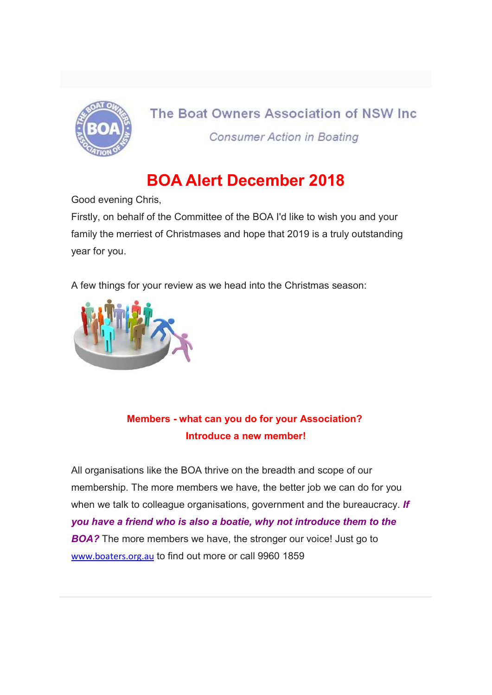

# The Boat Owners Association of NSW Inc. **Consumer Action in Boating**

# BOA Alert December 2018

Good evening Chris,

Firstly, on behalf of the Committee of the BOA I'd like to wish you and your family the merriest of Christmases and hope that 2019 is a truly outstanding year for you.

A few things for your review as we head into the Christmas season:



# Members - what can you do for your Association? Introduce a new member!

All organisations like the BOA thrive on the breadth and scope of our membership. The more members we have, the better job we can do for you when we talk to colleague organisations, government and the bureaucracy. If you have a friend who is also a boatie, why not introduce them to the **BOA?** The more members we have, the stronger our voice! Just go to www.boaters.org.au to find out more or call 9960 1859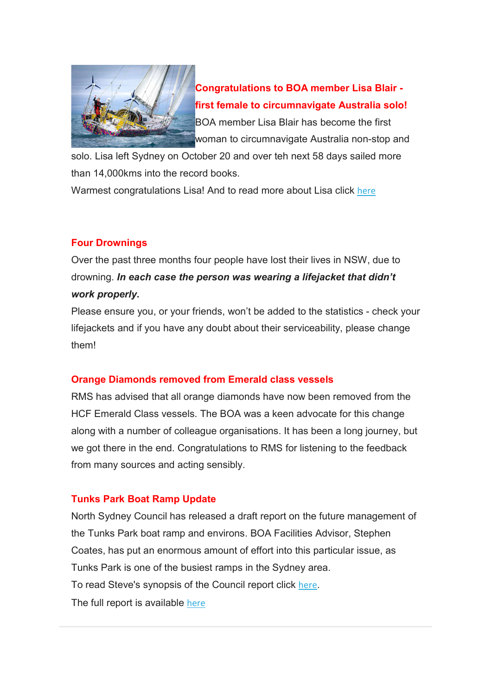

Congratulations to BOA member Lisa Blair first female to circumnavigate Australia solo! BOA member Lisa Blair has become the first woman to circumnavigate Australia non-stop and

solo. Lisa left Sydney on October 20 and over teh next 58 days sailed more than 14,000kms into the record books.

Warmest congratulations Lisa! And to read more about Lisa click here

## Four Drownings

Over the past three months four people have lost their lives in NSW, due to drowning. In each case the person was wearing a lifejacket that didn't work properly.

Please ensure you, or your friends, won't be added to the statistics - check your lifejackets and if you have any doubt about their serviceability, please change them!

## Orange Diamonds removed from Emerald class vessels

RMS has advised that all orange diamonds have now been removed from the HCF Emerald Class vessels. The BOA was a keen advocate for this change along with a number of colleague organisations. It has been a long journey, but we got there in the end. Congratulations to RMS for listening to the feedback from many sources and acting sensibly.

## Tunks Park Boat Ramp Update

North Sydney Council has released a draft report on the future management of the Tunks Park boat ramp and environs. BOA Facilities Advisor, Stephen Coates, has put an enormous amount of effort into this particular issue, as Tunks Park is one of the busiest ramps in the Sydney area. To read Steve's synopsis of the Council report click here. The full report is available here